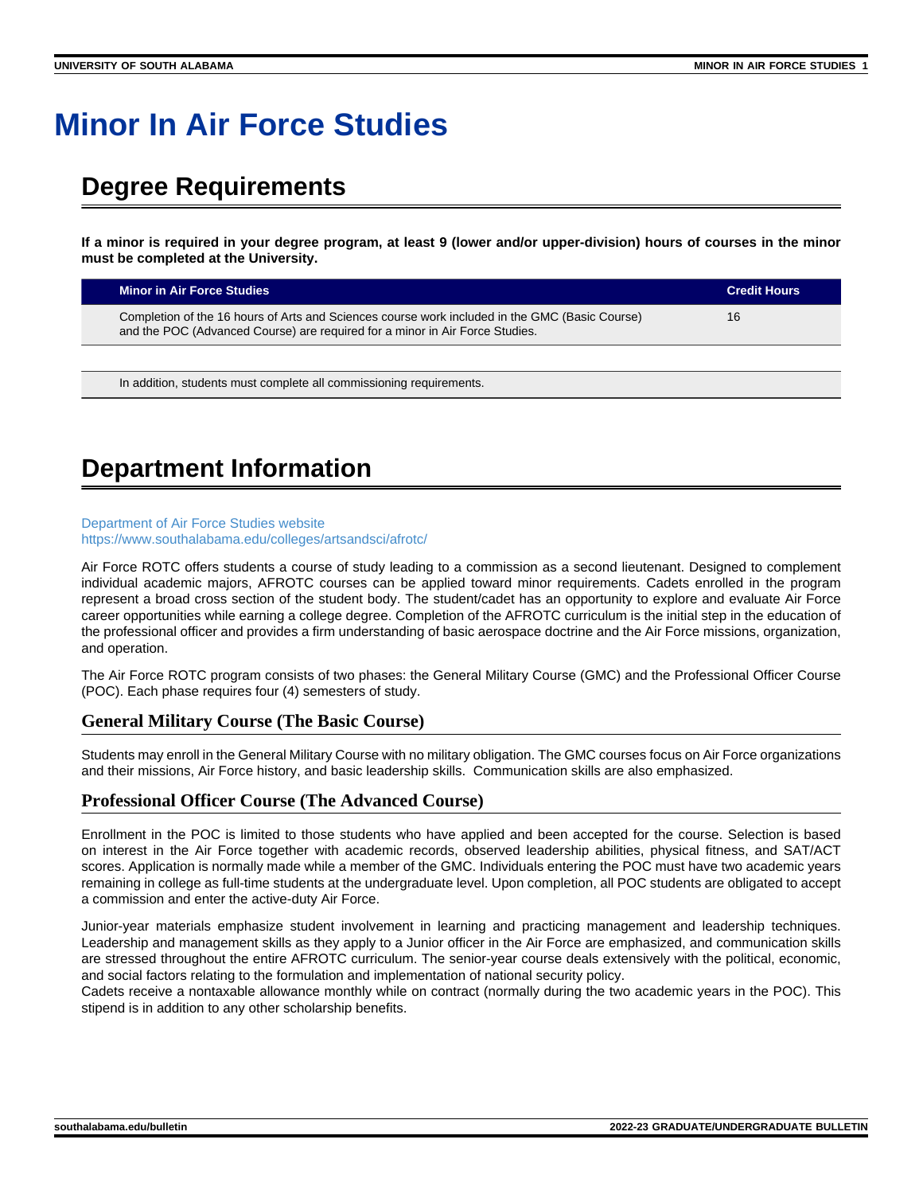# **Minor In Air Force Studies**

### **Degree Requirements**

**If a minor is required in your degree program, at least 9 (lower and/or upper-division) hours of courses in the minor must be completed at the University.**

| <b>Minor in Air Force Studies</b>                                                                                                                                              | <b>Credit Hours</b> |
|--------------------------------------------------------------------------------------------------------------------------------------------------------------------------------|---------------------|
| Completion of the 16 hours of Arts and Sciences course work included in the GMC (Basic Course)<br>and the POC (Advanced Course) are required for a minor in Air Force Studies. | 16                  |

In addition, students must complete all commissioning requirements.

## **Department Information**

#### [Department of Air Force Studies website](https://www.southalabama.edu/colleges/artsandsci/afrotc/) <https://www.southalabama.edu/colleges/artsandsci/afrotc/>

Air Force ROTC offers students a course of study leading to a commission as a second lieutenant. Designed to complement individual academic majors, AFROTC courses can be applied toward minor requirements. Cadets enrolled in the program represent a broad cross section of the student body. The student/cadet has an opportunity to explore and evaluate Air Force career opportunities while earning a college degree. Completion of the AFROTC curriculum is the initial step in the education of the professional officer and provides a firm understanding of basic aerospace doctrine and the Air Force missions, organization, and operation.

The Air Force ROTC program consists of two phases: the General Military Course (GMC) and the Professional Officer Course (POC). Each phase requires four (4) semesters of study.

### **General Military Course (The Basic Course)**

Students may enroll in the General Military Course with no military obligation. The GMC courses focus on Air Force organizations and their missions, Air Force history, and basic leadership skills. Communication skills are also emphasized.

### **Professional Officer Course (The Advanced Course)**

Enrollment in the POC is limited to those students who have applied and been accepted for the course. Selection is based on interest in the Air Force together with academic records, observed leadership abilities, physical fitness, and SAT/ACT scores. Application is normally made while a member of the GMC. Individuals entering the POC must have two academic years remaining in college as full-time students at the undergraduate level. Upon completion, all POC students are obligated to accept a commission and enter the active-duty Air Force.

Junior-year materials emphasize student involvement in learning and practicing management and leadership techniques. Leadership and management skills as they apply to a Junior officer in the Air Force are emphasized, and communication skills are stressed throughout the entire AFROTC curriculum. The senior-year course deals extensively with the political, economic, and social factors relating to the formulation and implementation of national security policy.

Cadets receive a nontaxable allowance monthly while on contract (normally during the two academic years in the POC). This stipend is in addition to any other scholarship benefits.